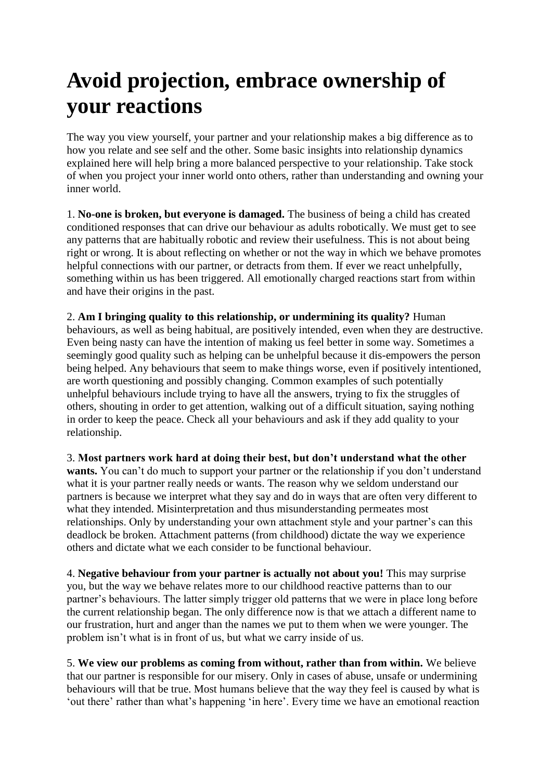## **Avoid projection, embrace ownership of your reactions**

The way you view yourself, your partner and your relationship makes a big difference as to how you relate and see self and the other. Some basic insights into relationship dynamics explained here will help bring a more balanced perspective to your relationship. Take stock of when you project your inner world onto others, rather than understanding and owning your inner world.

1. **No-one is broken, but everyone is damaged.** The business of being a child has created conditioned responses that can drive our behaviour as adults robotically. We must get to see any patterns that are habitually robotic and review their usefulness. This is not about being right or wrong. It is about reflecting on whether or not the way in which we behave promotes helpful connections with our partner, or detracts from them. If ever we react unhelpfully, something within us has been triggered. All emotionally charged reactions start from within and have their origins in the past.

2. **Am I bringing quality to this relationship, or undermining its quality?** Human behaviours, as well as being habitual, are positively intended, even when they are destructive. Even being nasty can have the intention of making us feel better in some way. Sometimes a seemingly good quality such as helping can be unhelpful because it dis-empowers the person being helped. Any behaviours that seem to make things worse, even if positively intentioned, are worth questioning and possibly changing. Common examples of such potentially unhelpful behaviours include trying to have all the answers, trying to fix the struggles of others, shouting in order to get attention, walking out of a difficult situation, saying nothing in order to keep the peace. Check all your behaviours and ask if they add quality to your relationship.

3. **Most partners work hard at doing their best, but don't understand what the other**  wants. You can't do much to support your partner or the relationship if you don't understand what it is your partner really needs or wants. The reason why we seldom understand our partners is because we interpret what they say and do in ways that are often very different to what they intended. Misinterpretation and thus misunderstanding permeates most relationships. Only by understanding your own attachment style and your partner's can this deadlock be broken. Attachment patterns (from childhood) dictate the way we experience others and dictate what we each consider to be functional behaviour.

4. **Negative behaviour from your partner is actually not about you!** This may surprise you, but the way we behave relates more to our childhood reactive patterns than to our partner's behaviours. The latter simply trigger old patterns that we were in place long before the current relationship began. The only difference now is that we attach a different name to our frustration, hurt and anger than the names we put to them when we were younger. The problem isn't what is in front of us, but what we carry inside of us.

5. **We view our problems as coming from without, rather than from within.** We believe that our partner is responsible for our misery. Only in cases of abuse, unsafe or undermining behaviours will that be true. Most humans believe that the way they feel is caused by what is 'out there' rather than what's happening 'in here'. Every time we have an emotional reaction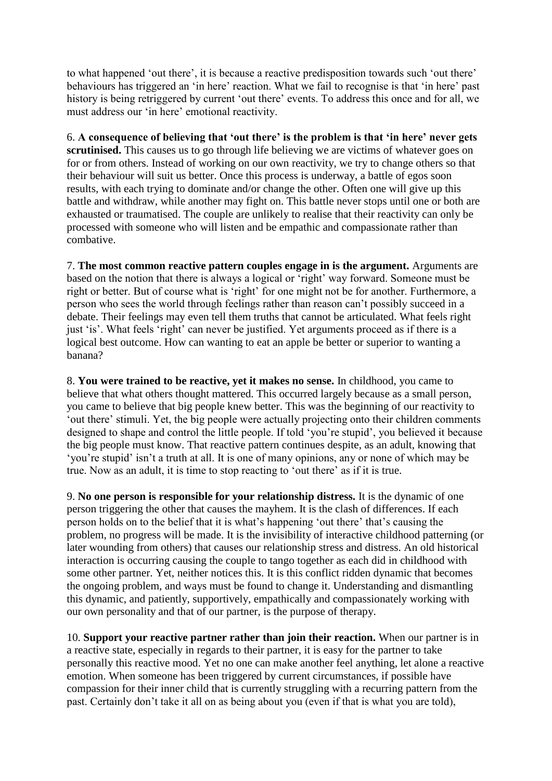to what happened 'out there', it is because a reactive predisposition towards such 'out there' behaviours has triggered an 'in here' reaction. What we fail to recognise is that 'in here' past history is being retriggered by current 'out there' events. To address this once and for all, we must address our 'in here' emotional reactivity.

6. **A consequence of believing that 'out there' is the problem is that 'in here' never gets**  scrutinised. This causes us to go through life believing we are victims of whatever goes on for or from others. Instead of working on our own reactivity, we try to change others so that their behaviour will suit us better. Once this process is underway, a battle of egos soon results, with each trying to dominate and/or change the other. Often one will give up this battle and withdraw, while another may fight on. This battle never stops until one or both are exhausted or traumatised. The couple are unlikely to realise that their reactivity can only be processed with someone who will listen and be empathic and compassionate rather than combative.

7. **The most common reactive pattern couples engage in is the argument.** Arguments are based on the notion that there is always a logical or 'right' way forward. Someone must be right or better. But of course what is 'right' for one might not be for another. Furthermore, a person who sees the world through feelings rather than reason can't possibly succeed in a debate. Their feelings may even tell them truths that cannot be articulated. What feels right just 'is'. What feels 'right' can never be justified. Yet arguments proceed as if there is a logical best outcome. How can wanting to eat an apple be better or superior to wanting a banana?

8. **You were trained to be reactive, yet it makes no sense.** In childhood, you came to believe that what others thought mattered. This occurred largely because as a small person, you came to believe that big people knew better. This was the beginning of our reactivity to 'out there' stimuli. Yet, the big people were actually projecting onto their children comments designed to shape and control the little people. If told 'you're stupid', you believed it because the big people must know. That reactive pattern continues despite, as an adult, knowing that 'you're stupid' isn't a truth at all. It is one of many opinions, any or none of which may be true. Now as an adult, it is time to stop reacting to 'out there' as if it is true.

9. **No one person is responsible for your relationship distress.** It is the dynamic of one person triggering the other that causes the mayhem. It is the clash of differences. If each person holds on to the belief that it is what's happening 'out there' that's causing the problem, no progress will be made. It is the invisibility of interactive childhood patterning (or later wounding from others) that causes our relationship stress and distress. An old historical interaction is occurring causing the couple to tango together as each did in childhood with some other partner. Yet, neither notices this. It is this conflict ridden dynamic that becomes the ongoing problem, and ways must be found to change it. Understanding and dismantling this dynamic, and patiently, supportively, empathically and compassionately working with our own personality and that of our partner, is the purpose of therapy.

10. **Support your reactive partner rather than join their reaction.** When our partner is in a reactive state, especially in regards to their partner, it is easy for the partner to take personally this reactive mood. Yet no one can make another feel anything, let alone a reactive emotion. When someone has been triggered by current circumstances, if possible have compassion for their inner child that is currently struggling with a recurring pattern from the past. Certainly don't take it all on as being about you (even if that is what you are told),